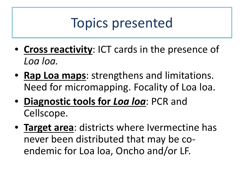## Topics presented

- **Cross reactivity**: ICT cards in the presence of *Loa loa.*
- **Rap Loa maps**: strengthens and limitations. Need for micromapping. Focality of Loa loa.
- **Diagnostic tools for** *Loa loa*: PCR and Cellscope.
- **Target area**: districts where Ivermectine has never been distributed that may be coendemic for Loa loa, Oncho and/or LF.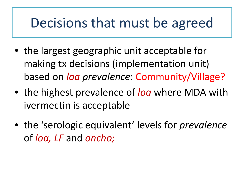## Decisions that must be agreed

- the largest geographic unit acceptable for making tx decisions (implementation unit) based on *loa prevalence*: Community/Village?
- the highest prevalence of *loa* where MDA with ivermectin is acceptable
- the 'serologic equivalent' levels for *prevalence* of *loa, LF* and *oncho;*